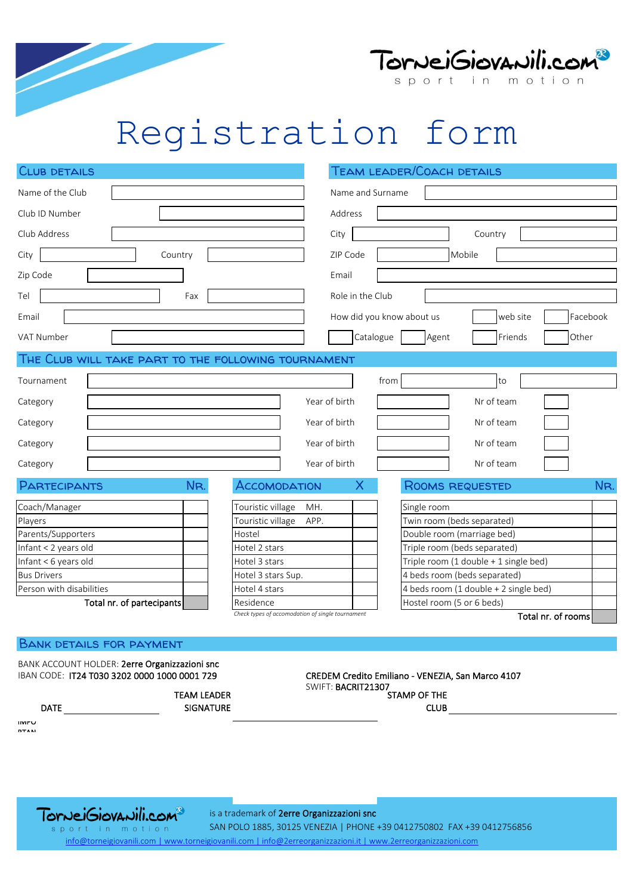



## Registration form

| <b>CLUB DETAILS</b>                                 |                                                  |                  | TEAM LEADER/COACH DETAILS                         |
|-----------------------------------------------------|--------------------------------------------------|------------------|---------------------------------------------------|
| Name of the Club                                    |                                                  | Name and Surname |                                                   |
| Club ID Number                                      |                                                  | Address          |                                                   |
| Club Address                                        |                                                  | City             | Country                                           |
| City<br>Country                                     |                                                  | ZIP Code         | Mobile                                            |
| Zip Code                                            |                                                  | Email            |                                                   |
| Fax<br>Tel                                          |                                                  | Role in the Club |                                                   |
| Email                                               |                                                  |                  | How did you know about us<br>Facebook<br>web site |
| VAT Number                                          |                                                  | Catalogue        | Other<br>Agent<br>Friends                         |
| THE CLUB WILL TAKE PART TO THE FOLLOWING TOURNAMENT |                                                  |                  |                                                   |
| Tournament                                          |                                                  |                  | from<br>to                                        |
| Category                                            | Year of birth                                    |                  | Nr of team                                        |
| Category                                            | Year of birth                                    |                  | Nr of team                                        |
| Category                                            | Year of birth                                    |                  | Nr of team                                        |
| Category                                            | Year of birth                                    |                  | Nr of team                                        |
| NR.<br>PARTECIPANTS                                 | ACCOMODATION                                     | Х                | NR.<br>ROOMS REQUESTED                            |
| Coach/Manager                                       | Touristic village<br>MH.                         |                  | Single room                                       |
| Players                                             | Touristic village<br>APP.                        |                  | Twin room (beds separated)                        |
| Parents/Supporters                                  | Hostel                                           |                  | Double room (marriage bed)                        |
| Infant < 2 years old                                | Hotel 2 stars                                    |                  | Triple room (beds separated)                      |
| Infant < 6 years old                                | Hotel 3 stars                                    |                  | Triple room (1 double + 1 single bed)             |
| <b>Bus Drivers</b>                                  | Hotel 3 stars Sup.                               |                  | 4 beds room (beds separated)                      |
| Person with disabilities                            | Hotel 4 stars                                    |                  | 4 beds room (1 double + 2 single bed)             |
| Total nr. of partecipants                           | Residence                                        |                  | Hostel room (5 or 6 beds)                         |
|                                                     | Check types of accomodation of single tournament |                  | Total nr. of rooms                                |

#### Bank details for payment

BANK ACCOUNT HOLDER: 2erre Organizzazioni snc<br>IBAN CODE: IT24 T030 3202 0000 1000 0001 729

DATE **DESIGNATION** TEAM LEADER SIGNATURE CREDEM Credito Emiliano - VENEZIA, San Marco 4107 SWIFT: BACRIT21307 STAMP OF THE **CLUB** 

IMPO RTAN



is a trademark of 2erre Organizzazioni snc

sport in motion SAN POLO 1885, 30125 VENEZIA | PHONE +39 0412750802 FAX +39 0412756856 [info@torneigiovanili.com | www.torneigiovanili.com | info@2erreorganizzazioni.it | www.2erreorganizzazioni.com](http://www.2erreorganizzazioni.com/)